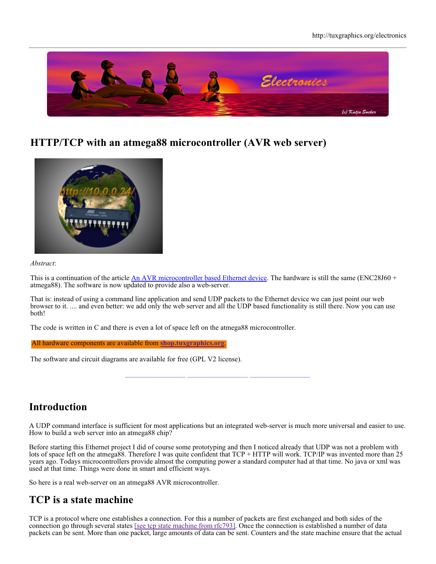

# **HTTP/TCP with an atmega88 microcontroller (AVR web server)**



#### *Abstract*:

This is a continuation of the article  $\overline{An AVR}$  microcontroller based Ethernet device. The hardware is still the same (ENC28J60 + atmega88). The software is now updated to provide also a web-server.

That is: instead of using a command line application and send UDP packets to the Ethernet device we can just point our web browser to it. .... and even better: we add only the web server and all the UDP based functionality is still there. Now you can use both!

The code is written in C and there is even a lot of space left on the atmega88 microcontroller.

All hardware components are available from **shop.tuxgraphics.org**.

The software and circuit diagrams are available for free (GPL V2 license).

# **Introduction**

A UDP command interface is sufficient for most applications but an integrated web-server is much more universal and easier to use. How to build a web server into an atmega88 chip?

**\_\_\_\_\_\_\_\_\_\_\_\_\_\_\_\_\_ \_\_\_\_\_\_\_\_\_\_\_\_\_\_\_\_\_ \_\_\_\_\_\_\_\_\_\_\_\_\_\_\_\_\_**

Before starting this Ethernet project I did of course some prototyping and then I noticed already that UDP was not a problem with lots of space left on the atmega88. Therefore I was quite confident that TCP + HTTP will work. TCP/IP was invented more than 25 years ago. Todays microcontrollers provide almost the computing power a standard computer had at that time. No java or xml was used at that time. Things were done in smart and efficient ways.

So here is a real web-server on an atmega88 AVR microcontroller.

# **TCP is a state machine**

TCP is a protocol where one establishes a connection. For this a number of packets are first exchanged and both sides of the connection go through several states [see tcp state machine from rfc793]. Once the connection is established a number of data packets can be sent. More than one packet, large amounts of data can be sent. Counters and the state machine ensure that the actual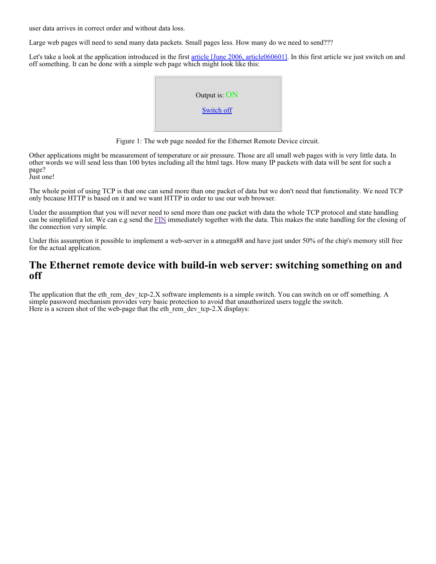user data arrives in correct order and without data loss.

Large web pages will need to send many data packets. Small pages less. How many do we need to send???

Let's take a look at the application introduced in the first article [June 2006, article060601]. In this first article we just switch on and off something. It can be done with a simple web page which might look like this:



Figure 1: The web page needed for the Ethernet Remote Device circuit.

Other applications might be measurement of temperature or air pressure. Those are all small web pages with is very little data. In other words we will send less than 100 bytes including all the html tags. How many IP packets with data will be sent for such a page?

Just one!

The whole point of using TCP is that one can send more than one packet of data but we don't need that functionality. We need TCP only because HTTP is based on it and we want HTTP in order to use our web browser.

Under the assumption that you will never need to send more than one packet with data the whole TCP protocol and state handling can be simplified a lot. We can e.g send the FIN immediately together with the data. This makes the state handling for the closing of the connection very simple.

Under this assumption it possible to implement a web-server in a atmega88 and have just under 50% of the chip's memory still free for the actual application.

### **The Ethernet remote device with build-in web server: switching something on and off**

The application that the eth rem dev tcp-2.X software implements is a simple switch. You can switch on or off something. A simple password mechanism provides very basic protection to avoid that unauthorized users toggle the switch. Here is a screen shot of the web-page that the eth\_rem\_dev\_tcp-2.X displays: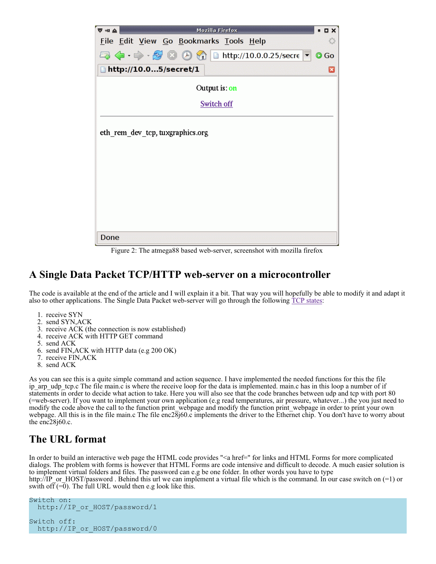

Figure 2: The atmega88 based web-server, screenshot with mozilla firefox

## **A Single Data Packet TCP/HTTP web-server on a microcontroller**

The code is available at the end of the article and I will explain it a bit. That way you will hopefully be able to modify it and adapt it also to other applications. The Single Data Packet web-server will go through the following TCP states:

- 1. receive SYN
- 2. send SYN,ACK
- 3. receive ACK (the connection is now established)
- 4. receive ACK with HTTP GET command
- 5. send ACK
- 6. send FIN,ACK with HTTP data (e.g 200 OK)
- 7. receive FIN,ACK
- 8. send ACK

As you can see this is a quite simple command and action sequence. I have implemented the needed functions for this the file ip\_arp\_udp\_tcp.c The file main.c is where the receive loop for the data is implemented. main.c has in this loop a number of if statements in order to decide what action to take. Here you will also see that the code branches between udp and tcp with port 80 (=web-server). If you want to implement your own application (e.g read temperatures, air pressure, whatever...) the you just need to modify the code above the call to the function print\_webpage and modify the function print\_webpage in order to print your own webpage. All this is in the file main.c The file enc28j60.c implements the driver to the Ethernet chip. You don't have to worry about the enc28j60.c.

# **The URL format**

In order to build an interactive web page the HTML code provides "<a href=" for links and HTML Forms for more complicated dialogs. The problem with forms is however that HTML Forms are code intensive and difficult to decode. A much easier solution is to implement virtual folders and files. The password can e.g be one folder. In other words you have to type http://IP\_or\_HOST/password . Behind this url we can implement a virtual file which is the command. In our case switch on  $(=1)$  or swith off  $(=0)$ . The full URL would then e.g look like this.

```
Switch on:
  http://IP_or_HOST/password/1
Switch off:
  http://IP_or_HOST/password/0
```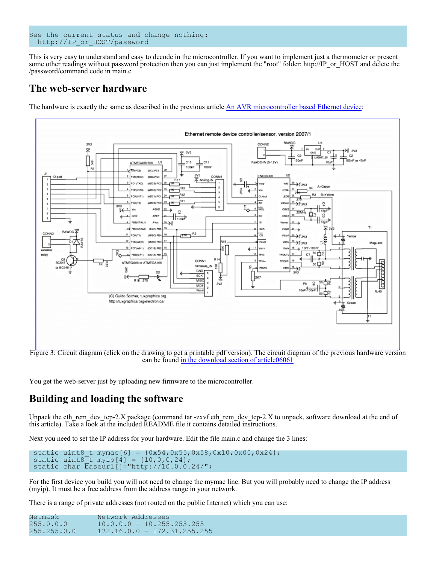#### See the current status and change nothing: http://IP or HOST/password

This is very easy to understand and easy to decode in the microcontroller. If you want to implement just a thermometer or present some other readings without password protection then you can just implement the "root" folder: http://IP\_or\_HOST and delete the /password/command code in main.c

## **The web-server hardware**

The hardware is exactly the same as described in the previous article An AVR microcontroller based Ethernet device:



Figure 3: Circuit diagram (click on the drawing to get a printable pdf version). The circuit diagram of the previous hardware version can be found in the download section of article06061

You get the web-server just by uploading new firmware to the microcontroller.

# **Building and loading the software**

Unpack the eth\_rem\_dev\_tcp-2.X package (command tar -zxvf eth\_rem\_dev\_tcp-2.X to unpack, software download at the end of this article). Take a look at the included README file it contains detailed instructions.

Next you need to set the IP address for your hardware. Edit the file main.c and change the 3 lines:

```
static uint8 t mymac[6] = {0x54,0x55,0x58,0x10,0x00,0x24};static uint8<sup>-</sup>t myip[4] = {10, 0, 0, 24};
static char baseurl[]="http://10.0.0.24/";
```
For the first device you build you will not need to change the mymac line. But you will probably need to change the IP address (myip). It must be a free address from the address range in your network.

There is a range of private addresses (not routed on the public Internet) which you can use:

Netmask Network Addresses 255.0.0.0 10.0.0.0 - 10.255.255.255 255.255.0.0 172.16.0.0 - 172.31.255.255